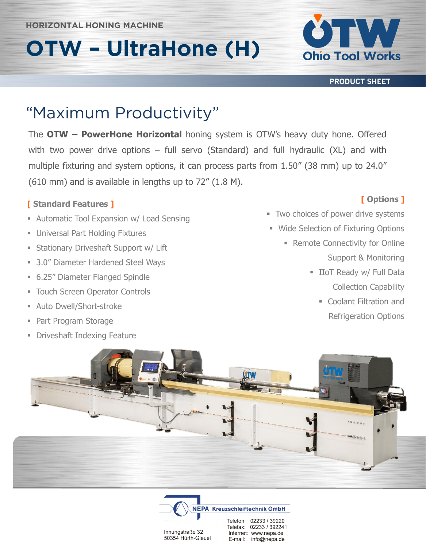# **OTW – UltraHone (H)**



**PRODUCT SHEET**

The **OTW – PowerHone Horizontal** honing system is OTW's heavy duty hone. Offered with two power drive options – full servo (Standard) and full hydraulic (XL) and with multiple fixturing and system options, it can process parts from 1.50" (38 mm) up to 24.0" (610 mm) and is available in lengths up to 72" (1.8 M).

#### **[ Standard Features ]**

- **Expansion w/ Load Sensing**
- **Universal Part Holding Fixtures**
- **Exercise Stationary Driveshaft Support w/ Lift**
- 3.0" Diameter Hardened Steel Ways
- 6.25" Diameter Flanged Spindle
- **EXECTED EXECTED FOR THE TOUCH SCREEN FIGHTS**
- Auto Dwell/Short-stroke
- Part Program Storage
- **Driveshaft Indexing Feature**

### **[ Options ]**

- **Two choices of power drive systems**
- **Wide Selection of Fixturing Options** 
	- **Remote Connectivity for Online** Support & Monitoring
		- **E** IIoT Ready w/ Full Data Collection Capability
			- Coolant Filtration and Refrigeration Options





Internet: www.nepa.de

E-mail: info@nepa.de

Innungstraße 32

50354 Hürth-Gleuel